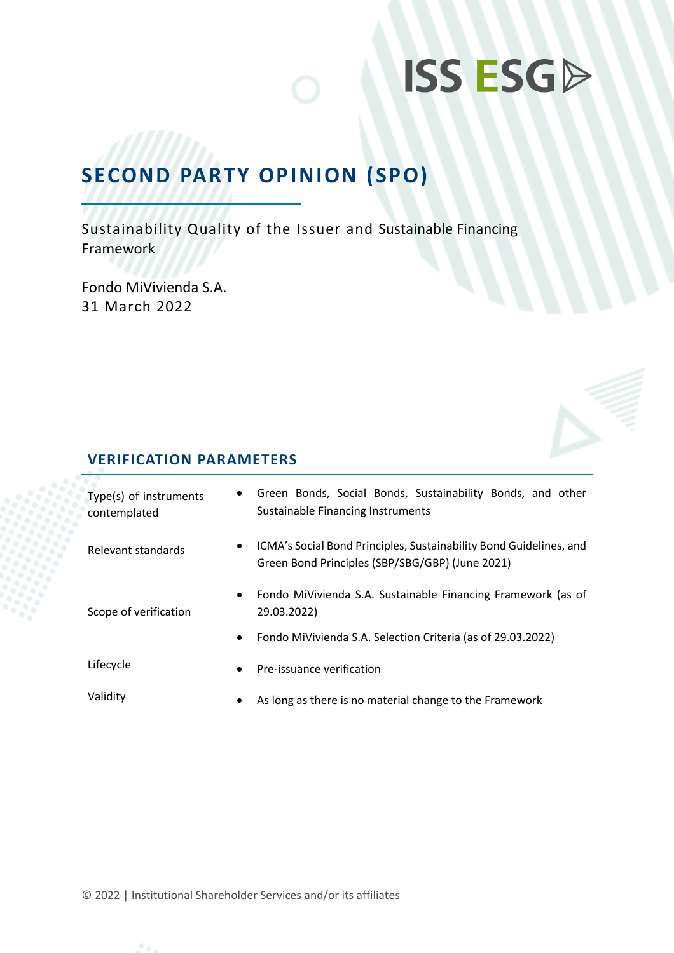# **ISS ESGA**

## **SECOND PARTY OPINION (SPO)**

Sustainability Quality of the Issuer and Sustainable Financing Framework

Fondo MiVivienda S.A. 31 March 2022

### **VERIFICATION PARAMETERS**

| Type(s) of instruments<br>contemplated | $\bullet$ | Green Bonds, Social Bonds, Sustainability Bonds, and other<br>Sustainable Financing Instruments                       |  |
|----------------------------------------|-----------|-----------------------------------------------------------------------------------------------------------------------|--|
| Relevant standards                     | $\bullet$ | ICMA's Social Bond Principles, Sustainability Bond Guidelines, and<br>Green Bond Principles (SBP/SBG/GBP) (June 2021) |  |
| Scope of verification                  | $\bullet$ | Fondo MiVivienda S.A. Sustainable Financing Framework (as of<br>29.03.2022)                                           |  |
|                                        | $\bullet$ | Fondo MiVivienda S.A. Selection Criteria (as of 29.03.2022)                                                           |  |
| Lifecycle                              | $\bullet$ | Pre-issuance verification                                                                                             |  |
| Validity                               | $\bullet$ | As long as there is no material change to the Framework                                                               |  |

© 2022 | Institutional Shareholder Services and/or its affiliates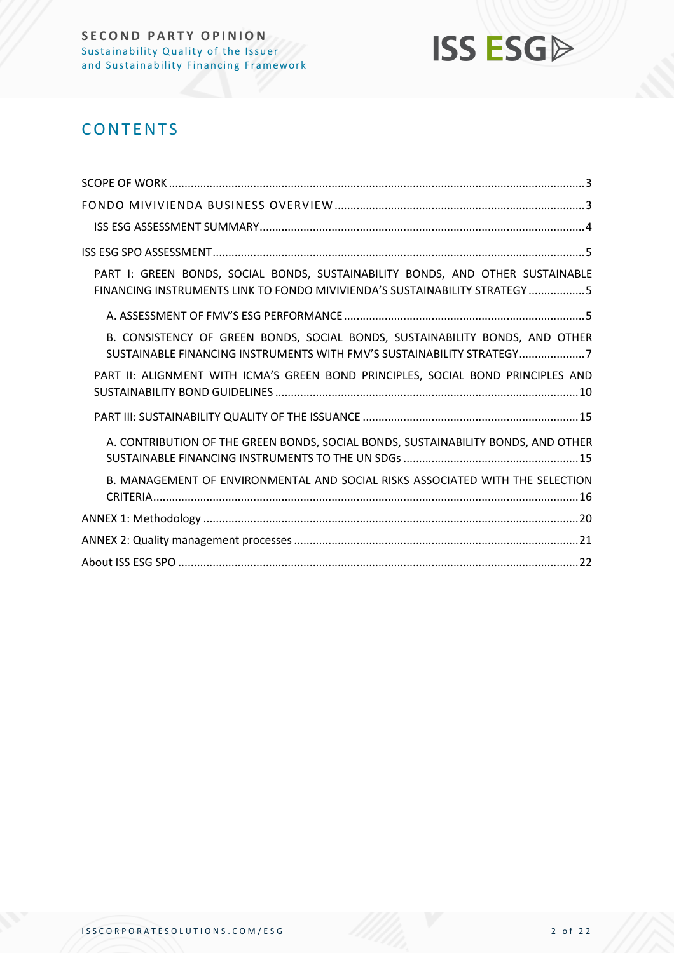

## **CONTENTS**

| PART I: GREEN BONDS, SOCIAL BONDS, SUSTAINABILITY BONDS, AND OTHER SUSTAINABLE<br>FINANCING INSTRUMENTS LINK TO FONDO MIVIVIENDA'S SUSTAINABILITY STRATEGY5 |
|-------------------------------------------------------------------------------------------------------------------------------------------------------------|
|                                                                                                                                                             |
| B. CONSISTENCY OF GREEN BONDS, SOCIAL BONDS, SUSTAINABILITY BONDS, AND OTHER<br>SUSTAINABLE FINANCING INSTRUMENTS WITH FMV'S SUSTAINABILITY STRATEGY7       |
| PART II: ALIGNMENT WITH ICMA'S GREEN BOND PRINCIPLES, SOCIAL BOND PRINCIPLES AND                                                                            |
|                                                                                                                                                             |
| A. CONTRIBUTION OF THE GREEN BONDS, SOCIAL BONDS, SUSTAINABILITY BONDS, AND OTHER                                                                           |
| B. MANAGEMENT OF ENVIRONMENTAL AND SOCIAL RISKS ASSOCIATED WITH THE SELECTION                                                                               |
|                                                                                                                                                             |
|                                                                                                                                                             |
|                                                                                                                                                             |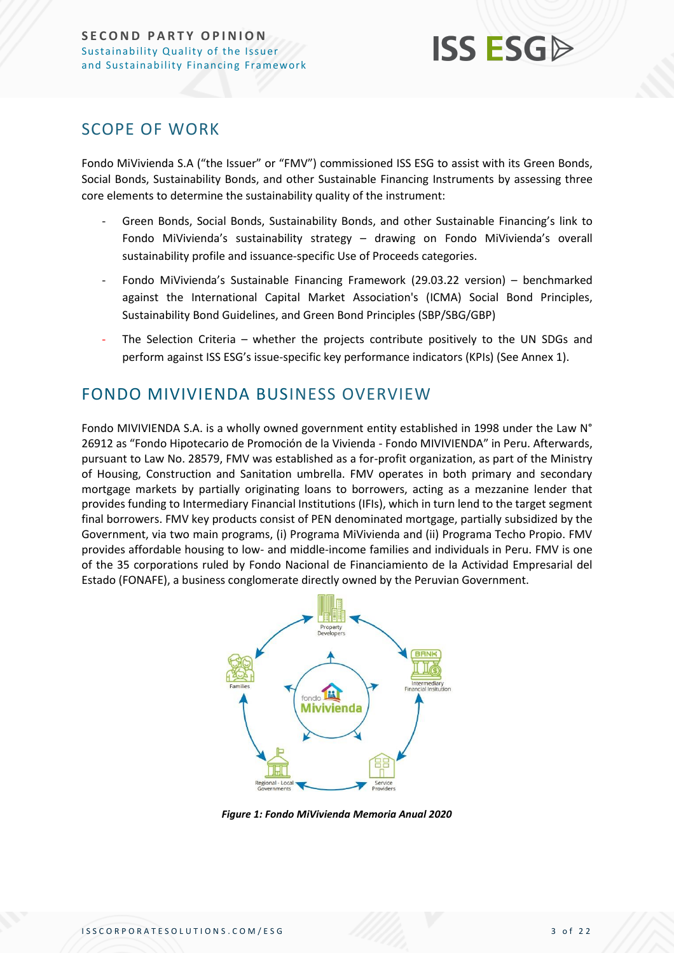

### <span id="page-2-0"></span>SCOPE OF WORK

Fondo MiVivienda S.A ("the Issuer" or "FMV") commissioned ISS ESG to assist with its Green Bonds, Social Bonds, Sustainability Bonds, and other Sustainable Financing Instruments by assessing three core elements to determine the sustainability quality of the instrument:

- Green Bonds, Social Bonds, Sustainability Bonds, and other Sustainable Financing's link to Fondo MiVivienda's sustainability strategy – drawing on Fondo MiVivienda's overall sustainability profile and issuance-specific Use of Proceeds categories.
- Fondo MiVivienda's Sustainable Financing Framework (29.03.22 version) benchmarked against the International Capital Market Association's (ICMA) Social Bond Principles, Sustainability Bond Guidelines, and Green Bond Principles (SBP/SBG/GBP)
- The Selection Criteria whether the projects contribute positively to the UN SDGs and perform against ISS ESG's issue-specific key performance indicators (KPIs) (See Annex 1).

## <span id="page-2-1"></span>FONDO MIVIVIENDA BUSINESS OVERVIEW

Fondo MIVIVIENDA S.A. is a wholly owned government entity established in 1998 under the Law N° 26912 as "Fondo Hipotecario de Promoción de la Vivienda - Fondo MIVIVIENDA" in Peru. Afterwards, pursuant to Law No. 28579, FMV was established as a for-profit organization, as part of the Ministry of Housing, Construction and Sanitation umbrella. FMV operates in both primary and secondary mortgage markets by partially originating loans to borrowers, acting as a mezzanine lender that provides funding to Intermediary Financial Institutions (IFIs), which in turn lend to the target segment final borrowers. FMV key products consist of PEN denominated mortgage, partially subsidized by the Government, via two main programs, (i) Programa MiVivienda and (ii) Programa Techo Propio. FMV provides affordable housing to low- and middle-income families and individuals in Peru. FMV is one of the 35 corporations ruled by Fondo Nacional de Financiamiento de la Actividad Empresarial del Estado (FONAFE), a business conglomerate directly owned by the Peruvian Government.



*Figure 1: Fondo MiVivienda Memoria Anual 2020*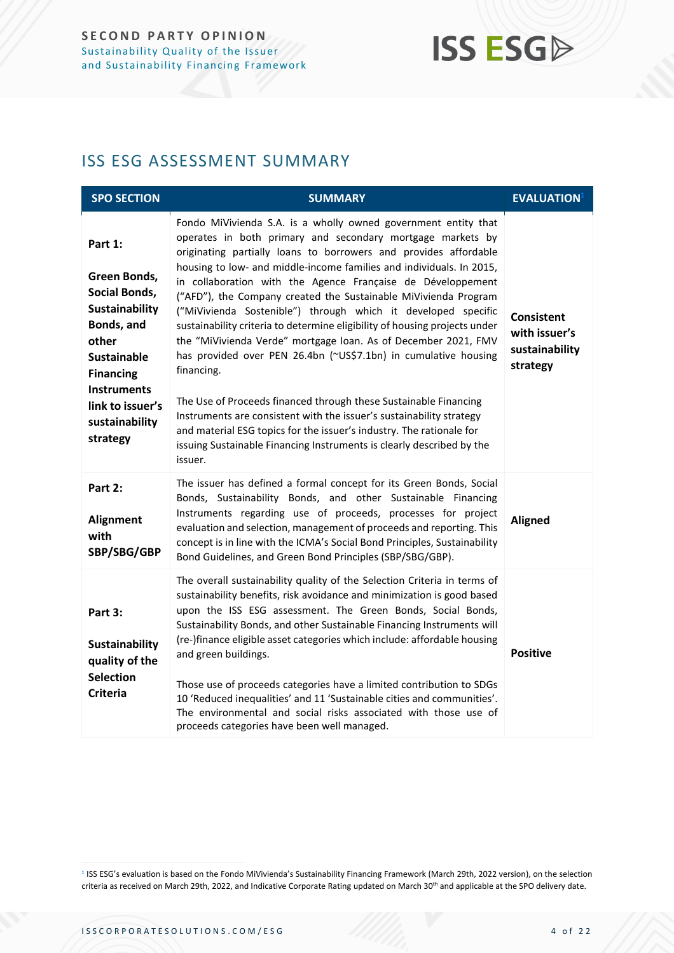## **ISS ESGA**

## <span id="page-3-0"></span>ISS ESG ASSESSMENT SUMMARY

| <b>SPO SECTION</b>                                                                                                                                                                                                | <b>SUMMARY</b>                                                                                                                                                                                                                                                                                                                                                                                                                                                                                                                                                                                                                                                                                                                                                                                                                                                                                                                                                                                                       | <b>EVALUATION</b>                                                |
|-------------------------------------------------------------------------------------------------------------------------------------------------------------------------------------------------------------------|----------------------------------------------------------------------------------------------------------------------------------------------------------------------------------------------------------------------------------------------------------------------------------------------------------------------------------------------------------------------------------------------------------------------------------------------------------------------------------------------------------------------------------------------------------------------------------------------------------------------------------------------------------------------------------------------------------------------------------------------------------------------------------------------------------------------------------------------------------------------------------------------------------------------------------------------------------------------------------------------------------------------|------------------------------------------------------------------|
| Part 1:<br>Green Bonds,<br><b>Social Bonds,</b><br><b>Sustainability</b><br>Bonds, and<br>other<br><b>Sustainable</b><br><b>Financing</b><br><b>Instruments</b><br>link to issuer's<br>sustainability<br>strategy | Fondo MiVivienda S.A. is a wholly owned government entity that<br>operates in both primary and secondary mortgage markets by<br>originating partially loans to borrowers and provides affordable<br>housing to low- and middle-income families and individuals. In 2015,<br>in collaboration with the Agence Française de Développement<br>("AFD"), the Company created the Sustainable MiVivienda Program<br>("MiVivienda Sostenible") through which it developed specific<br>sustainability criteria to determine eligibility of housing projects under<br>the "MiVivienda Verde" mortgage loan. As of December 2021, FMV<br>has provided over PEN 26.4bn (~US\$7.1bn) in cumulative housing<br>financing.<br>The Use of Proceeds financed through these Sustainable Financing<br>Instruments are consistent with the issuer's sustainability strategy<br>and material ESG topics for the issuer's industry. The rationale for<br>issuing Sustainable Financing Instruments is clearly described by the<br>issuer. | <b>Consistent</b><br>with issuer's<br>sustainability<br>strategy |
| Part 2:<br>Alignment<br>with<br>SBP/SBG/GBP                                                                                                                                                                       | The issuer has defined a formal concept for its Green Bonds, Social<br>Bonds, Sustainability Bonds, and other Sustainable Financing<br>Instruments regarding use of proceeds, processes for project<br>evaluation and selection, management of proceeds and reporting. This<br>concept is in line with the ICMA's Social Bond Principles, Sustainability<br>Bond Guidelines, and Green Bond Principles (SBP/SBG/GBP).                                                                                                                                                                                                                                                                                                                                                                                                                                                                                                                                                                                                | <b>Aligned</b>                                                   |
| Part 3:<br><b>Sustainability</b><br>quality of the<br><b>Selection</b><br><b>Criteria</b>                                                                                                                         | The overall sustainability quality of the Selection Criteria in terms of<br>sustainability benefits, risk avoidance and minimization is good based<br>upon the ISS ESG assessment. The Green Bonds, Social Bonds,<br>Sustainability Bonds, and other Sustainable Financing Instruments will<br>(re-)finance eligible asset categories which include: affordable housing<br>and green buildings.<br>Those use of proceeds categories have a limited contribution to SDGs<br>10 'Reduced inequalities' and 11 'Sustainable cities and communities'.<br>The environmental and social risks associated with those use of<br>proceeds categories have been well managed.                                                                                                                                                                                                                                                                                                                                                  | <b>Positive</b>                                                  |

<sup>1</sup> ISS ESG's evaluation is based on the Fondo MiVivienda's Sustainability Financing Framework (March 29th, 2022 version), on the selection criteria as received on March 29th, 2022, and Indicative Corporate Rating updated on March 30<sup>th</sup> and applicable at the SPO delivery date.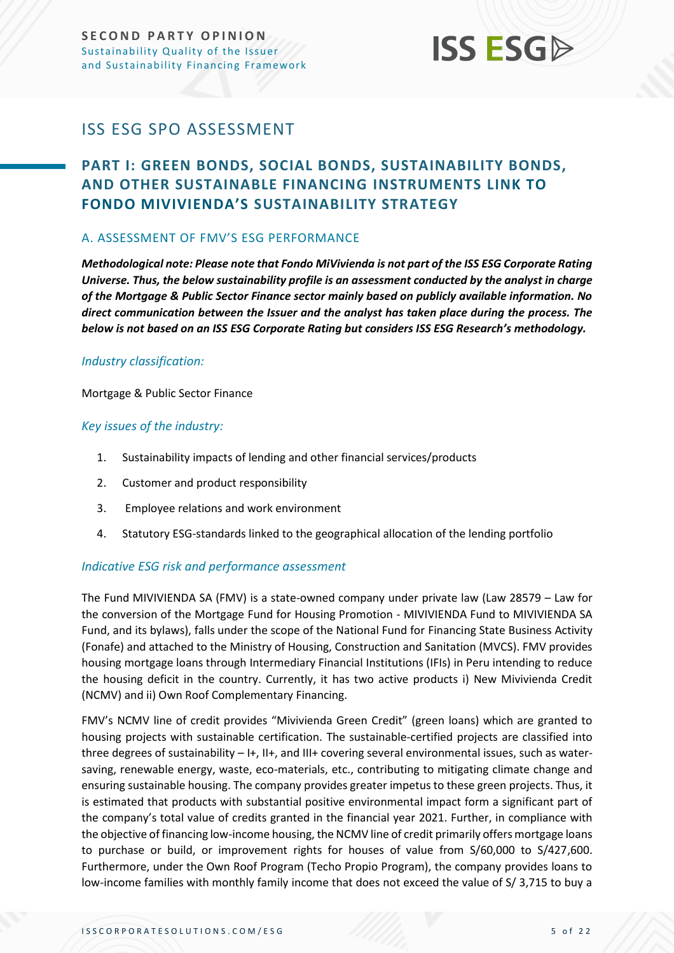

## <span id="page-4-0"></span>ISS ESG SPO ASSESSMENT

## <span id="page-4-1"></span>**PART I: GREEN BONDS, SOCIAL BONDS, SUSTAINABILITY BONDS, AND OTHER SUSTAINABLE FINANCING INSTRUMENTS LINK TO FONDO MIVIVIENDA'S SUSTAINABILITY STRATEGY**

#### <span id="page-4-2"></span>A. ASSESSMENT OF FMV'S ESG PERFORMANCE

*Methodological note: Please note that Fondo MiVivienda is not part of the ISS ESG Corporate Rating Universe. Thus, the below sustainability profile is an assessment conducted by the analyst in charge of the Mortgage & Public Sector Finance sector mainly based on publicly available information. No direct communication between the Issuer and the analyst has taken place during the process. The below is not based on an ISS ESG Corporate Rating but considers ISS ESG Research's methodology.*

#### *Industry classification:*

Mortgage & Public Sector Finance

#### *Key issues of the industry:*

- 1. Sustainability impacts of lending and other financial services/products
- 2. Customer and product responsibility
- 3. Employee relations and work environment
- 4. Statutory ESG-standards linked to the geographical allocation of the lending portfolio

#### *Indicative ESG risk and performance assessment*

The Fund MIVIVIENDA SA (FMV) is a state-owned company under private law (Law 28579 – Law for the conversion of the Mortgage Fund for Housing Promotion - MIVIVIENDA Fund to MIVIVIENDA SA Fund, and its bylaws), falls under the scope of the National Fund for Financing State Business Activity (Fonafe) and attached to the Ministry of Housing, Construction and Sanitation (MVCS). FMV provides housing mortgage loans through Intermediary Financial Institutions (IFIs) in Peru intending to reduce the housing deficit in the country. Currently, it has two active products i) New Mivivienda Credit (NCMV) and ii) Own Roof Complementary Financing.

FMV's NCMV line of credit provides "Mivivienda Green Credit" (green loans) which are granted to housing projects with sustainable certification. The sustainable-certified projects are classified into three degrees of sustainability – I+, II+, and III+ covering several environmental issues, such as watersaving, renewable energy, waste, eco-materials, etc., contributing to mitigating climate change and ensuring sustainable housing. The company provides greater impetus to these green projects. Thus, it is estimated that products with substantial positive environmental impact form a significant part of the company's total value of credits granted in the financial year 2021. Further, in compliance with the objective of financing low-income housing, the NCMV line of credit primarily offers mortgage loans to purchase or build, or improvement rights for houses of value from S/60,000 to S/427,600. Furthermore, under the Own Roof Program (Techo Propio Program), the company provides loans to low-income families with monthly family income that does not exceed the value of S/ 3,715 to buy a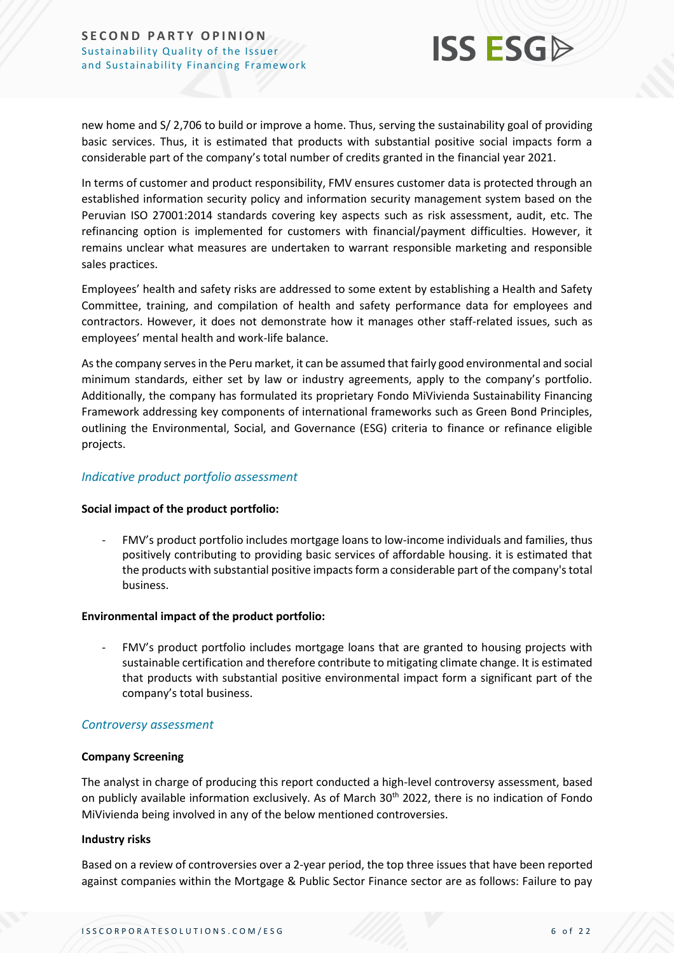

new home and S/ 2,706 to build or improve a home. Thus, serving the sustainability goal of providing basic services. Thus, it is estimated that products with substantial positive social impacts form a considerable part of the company's total number of credits granted in the financial year 2021.

In terms of customer and product responsibility, FMV ensures customer data is protected through an established information security policy and information security management system based on the Peruvian ISO 27001:2014 standards covering key aspects such as risk assessment, audit, etc. The refinancing option is implemented for customers with financial/payment difficulties. However, it remains unclear what measures are undertaken to warrant responsible marketing and responsible sales practices.

Employees' health and safety risks are addressed to some extent by establishing a Health and Safety Committee, training, and compilation of health and safety performance data for employees and contractors. However, it does not demonstrate how it manages other staff-related issues, such as employees' mental health and work-life balance.

As the company serves in the Peru market, it can be assumed that fairly good environmental and social minimum standards, either set by law or industry agreements, apply to the company's portfolio. Additionally, the company has formulated its proprietary Fondo MiVivienda Sustainability Financing Framework addressing key components of international frameworks such as Green Bond Principles, outlining the Environmental, Social, and Governance (ESG) criteria to finance or refinance eligible projects.

#### *Indicative product portfolio assessment*

#### **Social impact of the product portfolio:**

- FMV's product portfolio includes mortgage loans to low-income individuals and families, thus positively contributing to providing basic services of affordable housing. it is estimated that the products with substantial positive impacts form a considerable part of the company's total business.

#### **Environmental impact of the product portfolio:**

- FMV's product portfolio includes mortgage loans that are granted to housing projects with sustainable certification and therefore contribute to mitigating climate change. It is estimated that products with substantial positive environmental impact form a significant part of the company's total business.

#### *Controversy assessment*

#### **Company Screening**

The analyst in charge of producing this report conducted a high-level controversy assessment, based on publicly available information exclusively. As of March 30<sup>th</sup> 2022, there is no indication of Fondo MiVivienda being involved in any of the below mentioned controversies.

#### **Industry risks**

Based on a review of controversies over a 2-year period, the top three issues that have been reported against companies within the Mortgage & Public Sector Finance sector are as follows: Failure to pay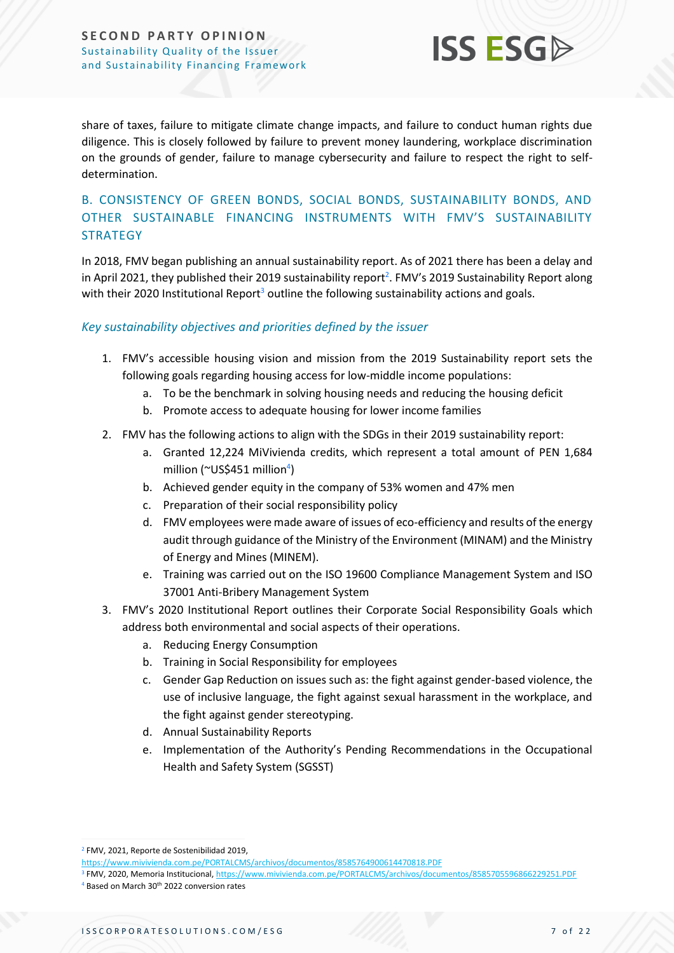#### **SECOND PARTY OPINION** Sustainability Quality of the Issuer and Sustainability Financing Framework



share of taxes, failure to mitigate climate change impacts, and failure to conduct human rights due diligence. This is closely followed by failure to prevent money laundering, workplace discrimination on the grounds of gender, failure to manage cybersecurity and failure to respect the right to selfdetermination.

#### <span id="page-6-0"></span>B. CONSISTENCY OF GREEN BONDS, SOCIAL BONDS, SUSTAINABILITY BONDS, AND OTHER SUSTAINABLE FINANCING INSTRUMENTS WITH FMV'S SUSTAINABILITY **STRATEGY**

In 2018, FMV began publishing an annual sustainability report. As of 2021 there has been a delay and in April 2021, they published their 2019 sustainability report<sup>2</sup>. FMV's 2019 Sustainability Report along with their 2020 Institutional Report<sup>3</sup> outline the following sustainability actions and goals.

#### *Key sustainability objectives and priorities defined by the issuer*

- 1. FMV's accessible housing vision and mission from the 2019 Sustainability report sets the following goals regarding housing access for low-middle income populations:
	- a. To be the benchmark in solving housing needs and reducing the housing deficit
	- b. Promote access to adequate housing for lower income families
- 2. FMV has the following actions to align with the SDGs in their 2019 sustainability report:
	- a. Granted 12,224 MiVivienda credits, which represent a total amount of PEN 1,684 million (~US\$451 million<sup>4</sup>)
	- b. Achieved gender equity in the company of 53% women and 47% men
	- c. Preparation of their social responsibility policy
	- d. FMV employees were made aware of issues of eco-efficiency and results of the energy audit through guidance of the Ministry of the Environment (MINAM) and the Ministry of Energy and Mines (MINEM).
	- e. Training was carried out on the ISO 19600 Compliance Management System and ISO 37001 Anti-Bribery Management System
- 3. FMV's 2020 Institutional Report outlines their Corporate Social Responsibility Goals which address both environmental and social aspects of their operations.
	- a. Reducing Energy Consumption
	- b. Training in Social Responsibility for employees
	- c. Gender Gap Reduction on issues such as: the fight against gender-based violence, the use of inclusive language, the fight against sexual harassment in the workplace, and the fight against gender stereotyping.
	- d. Annual Sustainability Reports
	- e. Implementation of the Authority's Pending Recommendations in the Occupational Health and Safety System (SGSST)

<sup>2</sup> FMV, 2021, Reporte de Sostenibilidad 2019,

<https://www.mivivienda.com.pe/PORTALCMS/archivos/documentos/8585764900614470818.PDF>

<sup>&</sup>lt;sup>3</sup> FMV, 2020, Memoria Institucional,<https://www.mivivienda.com.pe/PORTALCMS/archivos/documentos/8585705596866229251.PDF> <sup>4</sup> Based on March 30th 2022 conversion rates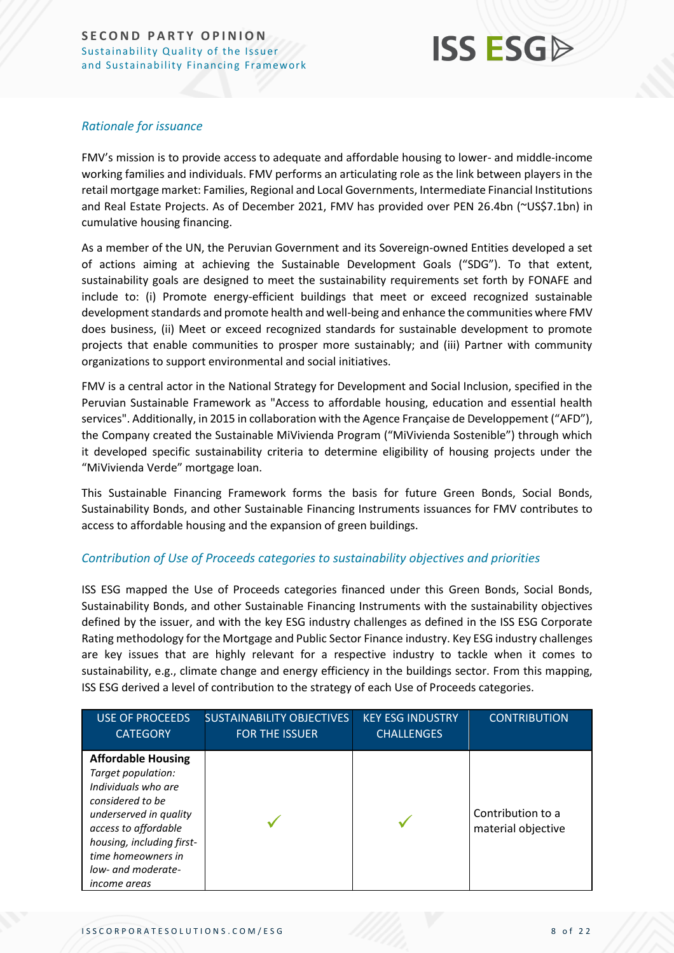## **ISS ESG**

#### *Rationale for issuance*

FMV's mission is to provide access to adequate and affordable housing to lower- and middle-income working families and individuals. FMV performs an articulating role as the link between players in the retail mortgage market: Families, Regional and Local Governments, Intermediate Financial Institutions and Real Estate Projects. As of December 2021, FMV has provided over PEN 26.4bn (~US\$7.1bn) in cumulative housing financing.

As a member of the UN, the Peruvian Government and its Sovereign-owned Entities developed a set of actions aiming at achieving the Sustainable Development Goals ("SDG"). To that extent, sustainability goals are designed to meet the sustainability requirements set forth by FONAFE and include to: (i) Promote energy-efficient buildings that meet or exceed recognized sustainable development standards and promote health and well-being and enhance the communities where FMV does business, (ii) Meet or exceed recognized standards for sustainable development to promote projects that enable communities to prosper more sustainably; and (iii) Partner with community organizations to support environmental and social initiatives.

FMV is a central actor in the National Strategy for Development and Social Inclusion, specified in the Peruvian Sustainable Framework as "Access to affordable housing, education and essential health services". Additionally, in 2015 in collaboration with the Agence Française de Developpement ("AFD"), the Company created the Sustainable MiVivienda Program ("MiVivienda Sostenible") through which it developed specific sustainability criteria to determine eligibility of housing projects under the "MiVivienda Verde" mortgage loan.

This Sustainable Financing Framework forms the basis for future Green Bonds, Social Bonds, Sustainability Bonds, and other Sustainable Financing Instruments issuances for FMV contributes to access to affordable housing and the expansion of green buildings.

#### *Contribution of Use of Proceeds categories to sustainability objectives and priorities*

ISS ESG mapped the Use of Proceeds categories financed under this Green Bonds, Social Bonds, Sustainability Bonds, and other Sustainable Financing Instruments with the sustainability objectives defined by the issuer, and with the key ESG industry challenges as defined in the ISS ESG Corporate Rating methodology for the Mortgage and Public Sector Finance industry. Key ESG industry challenges are key issues that are highly relevant for a respective industry to tackle when it comes to sustainability, e.g., climate change and energy efficiency in the buildings sector. From this mapping, ISS ESG derived a level of contribution to the strategy of each Use of Proceeds categories.

| <b>USE OF PROCEEDS</b><br><b>CATEGORY</b>                                                                                                    | <b>SUSTAINABILITY OBJECTIVES</b><br><b>FOR THE ISSUER</b> | <b>KEY ESG INDUSTRY</b><br><b>CHALLENGES</b> | <b>CONTRIBUTION</b>                     |
|----------------------------------------------------------------------------------------------------------------------------------------------|-----------------------------------------------------------|----------------------------------------------|-----------------------------------------|
| <b>Affordable Housing</b><br>Target population:<br>Individuals who are<br>considered to be<br>underserved in quality<br>access to affordable |                                                           |                                              | Contribution to a<br>material objective |
| housing, including first-<br>time homeowners in<br>low- and moderate-<br><i>income areas</i>                                                 |                                                           |                                              |                                         |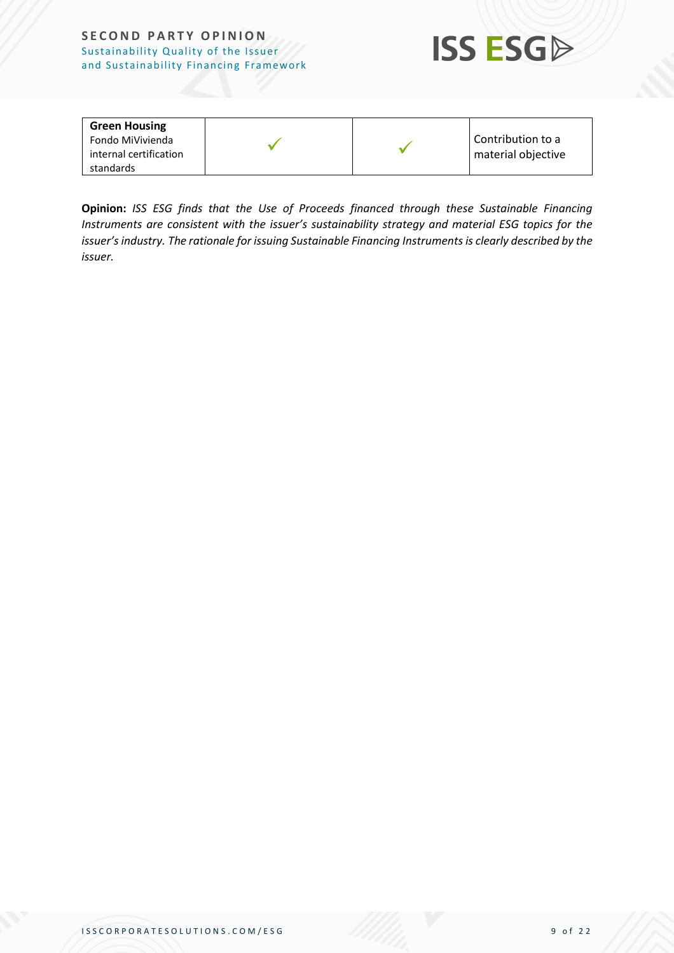#### **SECOND PARTY OPINION** Sustainability Quality of the Issuer and Sustainability Financing Framework



| <b>Green Housing</b>   |  |                    |
|------------------------|--|--------------------|
| Fondo MiVivienda       |  | Contribution to a  |
| internal certification |  | material objective |
| standards              |  |                    |

**Opinion:** *ISS ESG finds that the Use of Proceeds financed through these Sustainable Financing Instruments are consistent with the issuer's sustainability strategy and material ESG topics for the issuer's industry. The rationale for issuing Sustainable Financing Instruments is clearly described by the issuer.*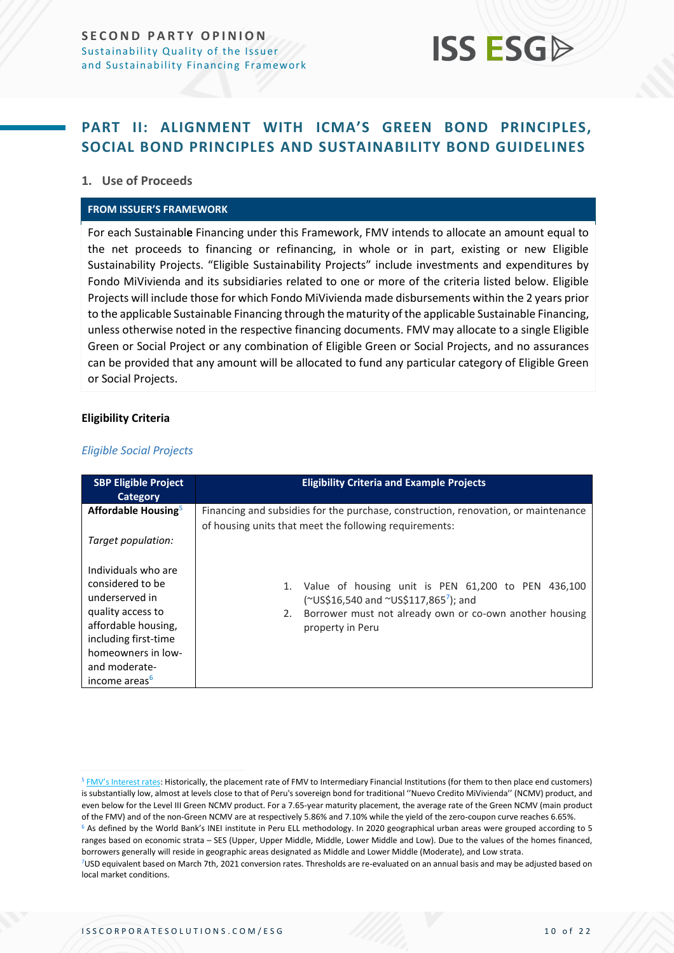

### <span id="page-9-0"></span>**PART II: ALIGNMENT WITH ICMA'S GREEN BOND PRINCIPLES, SOCIAL BOND PRINCIPLES AND SUSTAINABILITY BOND GUIDELINES**

#### **1. Use of Proceeds**

#### **FROM ISSUER'S FRAMEWORK**

For each Sustainabl**e** Financing under this Framework, FMV intends to allocate an amount equal to the net proceeds to financing or refinancing, in whole or in part, existing or new Eligible Sustainability Projects. "Eligible Sustainability Projects" include investments and expenditures by Fondo MiVivienda and its subsidiaries related to one or more of the criteria listed below. Eligible Projects will include those for which Fondo MiVivienda made disbursements within the 2 years prior to the applicable Sustainable Financing through the maturity of the applicable Sustainable Financing, unless otherwise noted in the respective financing documents. FMV may allocate to a single Eligible Green or Social Project or any combination of Eligible Green or Social Projects, and no assurances can be provided that any amount will be allocated to fund any particular category of Eligible Green or Social Projects.

#### **Eligibility Criteria**

#### *Eligible Social Projects*

| <b>SBP Eligible Project</b><br>Category                                                                                                                                                           | <b>Eligibility Criteria and Example Projects</b>                                                                                                                                                   |
|---------------------------------------------------------------------------------------------------------------------------------------------------------------------------------------------------|----------------------------------------------------------------------------------------------------------------------------------------------------------------------------------------------------|
| Affordable Housing <sup>5</sup>                                                                                                                                                                   | Financing and subsidies for the purchase, construction, renovation, or maintenance<br>of housing units that meet the following requirements:                                                       |
| Target population:                                                                                                                                                                                |                                                                                                                                                                                                    |
| Individuals who are<br>considered to be<br>underserved in<br>quality access to<br>affordable housing,<br>including first-time<br>homeowners in low-<br>and moderate-<br>income areas <sup>6</sup> | Value of housing unit is PEN 61,200 to PEN 436,100<br>1.<br>(~US\$16,540 and ~US\$117,865 <sup>7</sup> ); and<br>Borrower must not already own or co-own another housing<br>2.<br>property in Peru |

<sup>&</sup>lt;sup>5</sup> [FMV's Interest rates](https://www.sbs.gob.pe/estadisticas-y-publicaciones/estadisticas-/sistema-financiero_): Historically, the placement rate of FMV to Intermediary Financial Institutions (for them to then place end customers) is substantially low, almost at levels close to that of Peru's sovereign bond for traditional ''Nuevo Credito MiVivienda'' (NCMV) product, and even below for the Level III Green NCMV product. For a 7.65-year maturity placement, the average rate of the Green NCMV (main product of the FMV) and of the non-Green NCMV are at respectively 5.86% and 7.10% while the yield of the zero-coupon curve reaches 6.65%. <sup>6</sup> As defined by the World Bank's INEI institute in Peru ELL methodology. In 2020 geographical urban areas were grouped according to 5 ranges based on economic strata – SES (Upper, Upper Middle, Middle, Lower Middle and Low). Due to the values of the homes financed, borrowers generally will reside in geographic areas designated as Middle and Lower Middle (Moderate), and Low strata.

<sup>7</sup>USD equivalent based on March 7th, 2021 conversion rates. Thresholds are re-evaluated on an annual basis and may be adjusted based on local market conditions.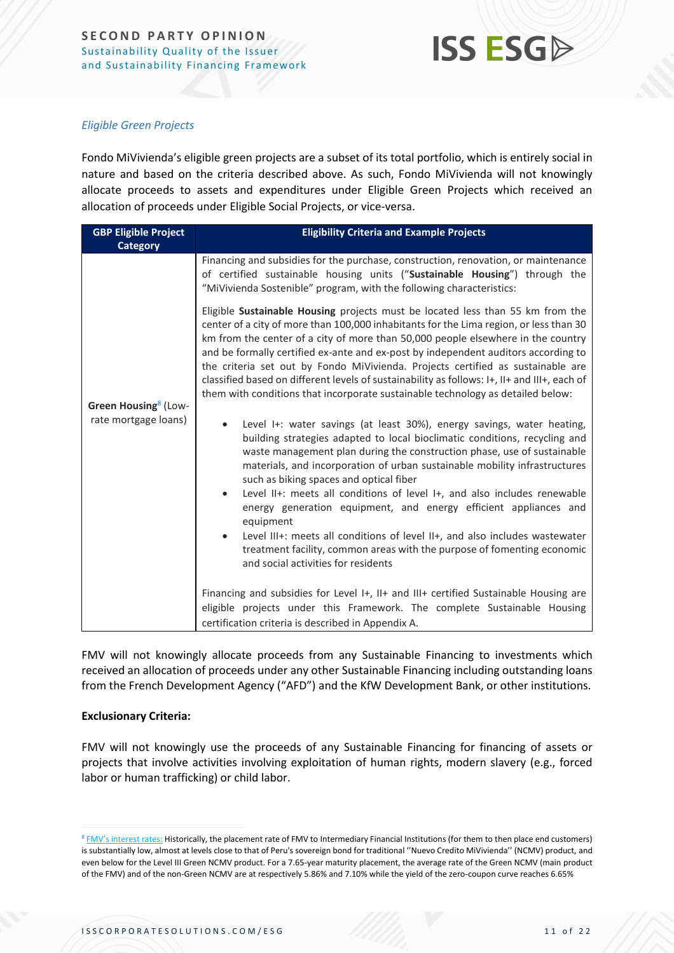

#### *Eligible Green Projects*

Fondo MiVivienda's eligible green projects are a subset of its total portfolio, which is entirely social in nature and based on the criteria described above. As such, Fondo MiVivienda will not knowingly allocate proceeds to assets and expenditures under Eligible Green Projects which received an allocation of proceeds under Eligible Social Projects, or vice-versa.

| <b>GBP Eligible Project</b>      | <b>Eligibility Criteria and Example Projects</b>                                                                                                                                                                                                                                                                                                                                                                                                                                                                                                                                                                                                                                                                                    |  |  |
|----------------------------------|-------------------------------------------------------------------------------------------------------------------------------------------------------------------------------------------------------------------------------------------------------------------------------------------------------------------------------------------------------------------------------------------------------------------------------------------------------------------------------------------------------------------------------------------------------------------------------------------------------------------------------------------------------------------------------------------------------------------------------------|--|--|
| <b>Category</b>                  |                                                                                                                                                                                                                                                                                                                                                                                                                                                                                                                                                                                                                                                                                                                                     |  |  |
| Green Housing <sup>8</sup> (Low- | Financing and subsidies for the purchase, construction, renovation, or maintenance<br>of certified sustainable housing units ("Sustainable Housing") through the<br>"MiVivienda Sostenible" program, with the following characteristics:<br>Eligible Sustainable Housing projects must be located less than 55 km from the                                                                                                                                                                                                                                                                                                                                                                                                          |  |  |
|                                  | center of a city of more than 100,000 inhabitants for the Lima region, or less than 30<br>km from the center of a city of more than 50,000 people elsewhere in the country<br>and be formally certified ex-ante and ex-post by independent auditors according to<br>the criteria set out by Fondo MiVivienda. Projects certified as sustainable are<br>classified based on different levels of sustainability as follows: I+, II+ and III+, each of<br>them with conditions that incorporate sustainable technology as detailed below:                                                                                                                                                                                              |  |  |
| rate mortgage loans)             | Level I+: water savings (at least 30%), energy savings, water heating,<br>building strategies adapted to local bioclimatic conditions, recycling and<br>waste management plan during the construction phase, use of sustainable<br>materials, and incorporation of urban sustainable mobility infrastructures<br>such as biking spaces and optical fiber<br>Level II+: meets all conditions of level I+, and also includes renewable<br>energy generation equipment, and energy efficient appliances and<br>equipment<br>Level III+: meets all conditions of level II+, and also includes wastewater<br>$\bullet$<br>treatment facility, common areas with the purpose of fomenting economic<br>and social activities for residents |  |  |
|                                  | Financing and subsidies for Level I+, II+ and III+ certified Sustainable Housing are<br>eligible projects under this Framework. The complete Sustainable Housing<br>certification criteria is described in Appendix A.                                                                                                                                                                                                                                                                                                                                                                                                                                                                                                              |  |  |

FMV will not knowingly allocate proceeds from any Sustainable Financing to investments which received an allocation of proceeds under any other Sustainable Financing including outstanding loans from the French Development Agency ("AFD") and the KfW Development Bank, or other institutions.

#### **Exclusionary Criteria:**

FMV will not knowingly use the proceeds of any Sustainable Financing for financing of assets or projects that involve activities involving exploitation of human rights, modern slavery (e.g., forced labor or human trafficking) or child labor.

<sup>8</sup> [FMV's interest rates:](https://www.sbs.gob.pe/estadisticas-y-publicaciones/estadisticas-/sistema-financiero_) Historically, the placement rate of FMV to Intermediary Financial Institutions (for them to then place end customers) is substantially low, almost at levels close to that of Peru's sovereign bond for traditional ''Nuevo Credito MiVivienda'' (NCMV) product, and even below for the Level III Green NCMV product. For a 7.65-year maturity placement, the average rate of the Green NCMV (main product of the FMV) and of the non-Green NCMV are at respectively 5.86% and 7.10% while the yield of the zero-coupon curve reaches 6.65%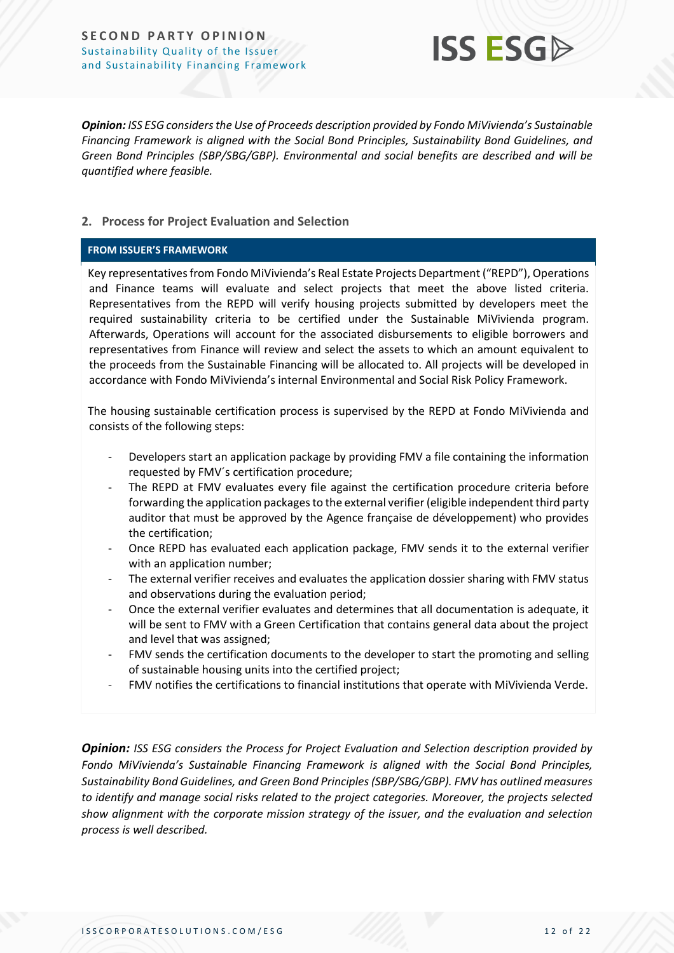**SECOND PARTY OPINION** Sustainability Quality of the Issuer and Sustainability Financing Framework



*Opinion: ISS ESG considers the Use of Proceeds description provided by Fondo MiVivienda's Sustainable Financing Framework is aligned with the Social Bond Principles, Sustainability Bond Guidelines, and Green Bond Principles (SBP/SBG/GBP). Environmental and social benefits are described and will be quantified where feasible.*

#### **2. Process for Project Evaluation and Selection**

#### **FROM ISSUER'S FRAMEWORK**

Key representatives from Fondo MiVivienda's Real Estate Projects Department ("REPD"), Operations and Finance teams will evaluate and select projects that meet the above listed criteria. Representatives from the REPD will verify housing projects submitted by developers meet the required sustainability criteria to be certified under the Sustainable MiVivienda program. Afterwards, Operations will account for the associated disbursements to eligible borrowers and representatives from Finance will review and select the assets to which an amount equivalent to the proceeds from the Sustainable Financing will be allocated to. All projects will be developed in accordance with Fondo MiVivienda's internal Environmental and Social Risk Policy Framework.

The housing sustainable certification process is supervised by the REPD at Fondo MiVivienda and consists of the following steps:

- Developers start an application package by providing FMV a file containing the information requested by FMV´s certification procedure;
- The REPD at FMV evaluates every file against the certification procedure criteria before forwarding the application packages to the external verifier (eligible independent third party auditor that must be approved by the Agence française de développement) who provides the certification;
- Once REPD has evaluated each application package, FMV sends it to the external verifier with an application number;
- The external verifier receives and evaluates the application dossier sharing with FMV status and observations during the evaluation period;
- Once the external verifier evaluates and determines that all documentation is adequate, it will be sent to FMV with a Green Certification that contains general data about the project and level that was assigned;
- FMV sends the certification documents to the developer to start the promoting and selling of sustainable housing units into the certified project;
- FMV notifies the certifications to financial institutions that operate with MiVivienda Verde.

*Opinion: ISS ESG considers the Process for Project Evaluation and Selection description provided by Fondo MiVivienda's Sustainable Financing Framework is aligned with the Social Bond Principles, Sustainability Bond Guidelines, and Green Bond Principles (SBP/SBG/GBP). FMV has outlined measures to identify and manage social risks related to the project categories. Moreover, the projects selected show alignment with the corporate mission strategy of the issuer, and the evaluation and selection process is well described.*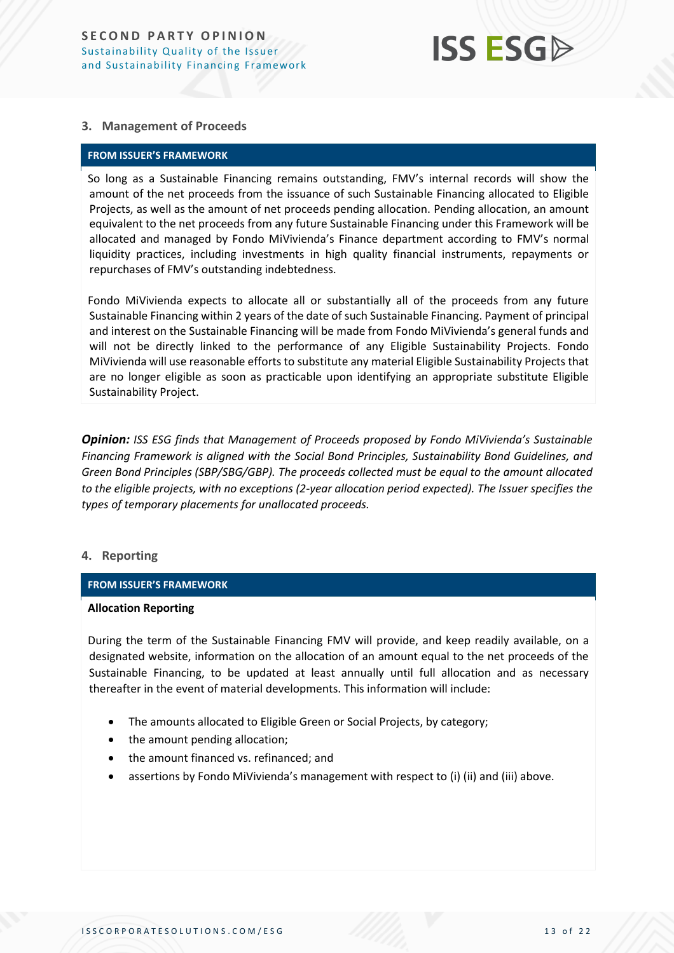## **ISS ESGA**

#### **3. Management of Proceeds**

#### **FROM ISSUER'S FRAMEWORK**

So long as a Sustainable Financing remains outstanding, FMV's internal records will show the amount of the net proceeds from the issuance of such Sustainable Financing allocated to Eligible Projects, as well as the amount of net proceeds pending allocation. Pending allocation, an amount equivalent to the net proceeds from any future Sustainable Financing under this Framework will be allocated and managed by Fondo MiVivienda's Finance department according to FMV's normal liquidity practices, including investments in high quality financial instruments, repayments or repurchases of FMV's outstanding indebtedness.

Fondo MiVivienda expects to allocate all or substantially all of the proceeds from any future Sustainable Financing within 2 years of the date of such Sustainable Financing. Payment of principal and interest on the Sustainable Financing will be made from Fondo MiVivienda's general funds and will not be directly linked to the performance of any Eligible Sustainability Projects. Fondo MiVivienda will use reasonable efforts to substitute any material Eligible Sustainability Projects that are no longer eligible as soon as practicable upon identifying an appropriate substitute Eligible Sustainability Project.

*Opinion: ISS ESG finds that Management of Proceeds proposed by Fondo MiVivienda's Sustainable Financing Framework is aligned with the Social Bond Principles, Sustainability Bond Guidelines, and Green Bond Principles (SBP/SBG/GBP). The proceeds collected must be equal to the amount allocated to the eligible projects, with no exceptions (2-year allocation period expected). The Issuer specifies the types of temporary placements for unallocated proceeds.*

#### **4. Reporting**

#### **FROM ISSUER'S FRAMEWORK**

#### **Allocation Reporting**

During the term of the Sustainable Financing FMV will provide, and keep readily available, on a designated website, information on the allocation of an amount equal to the net proceeds of the Sustainable Financing, to be updated at least annually until full allocation and as necessary thereafter in the event of material developments. This information will include:

- The amounts allocated to Eligible Green or Social Projects, by category;
- the amount pending allocation;
- the amount financed vs. refinanced; and
- assertions by Fondo MiVivienda's management with respect to (i) (ii) and (iii) above.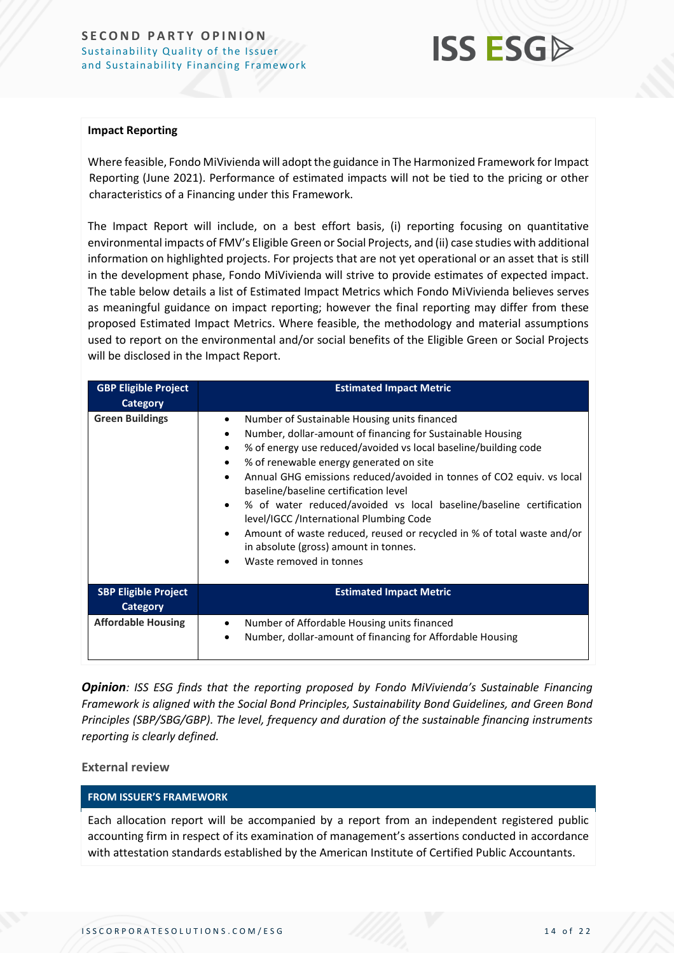

#### **Impact Reporting**

Where feasible, Fondo MiVivienda will adopt the guidance in The Harmonized Framework for Impact Reporting (June 2021). Performance of estimated impacts will not be tied to the pricing or other characteristics of a Financing under this Framework.

The Impact Report will include, on a best effort basis, (i) reporting focusing on quantitative environmental impacts of FMV's Eligible Green or Social Projects, and (ii) case studies with additional information on highlighted projects. For projects that are not yet operational or an asset that is still in the development phase, Fondo MiVivienda will strive to provide estimates of expected impact. The table below details a list of Estimated Impact Metrics which Fondo MiVivienda believes serves as meaningful guidance on impact reporting; however the final reporting may differ from these proposed Estimated Impact Metrics. Where feasible, the methodology and material assumptions used to report on the environmental and/or social benefits of the Eligible Green or Social Projects will be disclosed in the Impact Report.

| <b>GBP Eligible Project</b><br><b>Category</b> | <b>Estimated Impact Metric</b>                                                                                                                                                                                                                                                                                                                                                                                                                                                                                                                                                                                                                                           |
|------------------------------------------------|--------------------------------------------------------------------------------------------------------------------------------------------------------------------------------------------------------------------------------------------------------------------------------------------------------------------------------------------------------------------------------------------------------------------------------------------------------------------------------------------------------------------------------------------------------------------------------------------------------------------------------------------------------------------------|
| <b>Green Buildings</b>                         | Number of Sustainable Housing units financed<br>$\bullet$<br>Number, dollar-amount of financing for Sustainable Housing<br>٠<br>% of energy use reduced/avoided vs local baseline/building code<br>٠<br>% of renewable energy generated on site<br>$\bullet$<br>Annual GHG emissions reduced/avoided in tonnes of CO2 equiv. vs local<br>$\bullet$<br>baseline/baseline certification level<br>% of water reduced/avoided vs local baseline/baseline certification<br>level/IGCC /International Plumbing Code<br>Amount of waste reduced, reused or recycled in % of total waste and/or<br>in absolute (gross) amount in tonnes.<br>Waste removed in tonnes<br>$\bullet$ |
| <b>SBP Eligible Project</b><br>Category        | <b>Estimated Impact Metric</b>                                                                                                                                                                                                                                                                                                                                                                                                                                                                                                                                                                                                                                           |
| <b>Affordable Housing</b>                      | Number of Affordable Housing units financed<br>$\bullet$<br>Number, dollar-amount of financing for Affordable Housing<br>٠                                                                                                                                                                                                                                                                                                                                                                                                                                                                                                                                               |

*Opinion: ISS ESG finds that the reporting proposed by Fondo MiVivienda's Sustainable Financing Framework is aligned with the Social Bond Principles, Sustainability Bond Guidelines, and Green Bond Principles (SBP/SBG/GBP). The level, frequency and duration of the sustainable financing instruments reporting is clearly defined.*

#### **External review**

#### **FROM ISSUER'S FRAMEWORK**

Each allocation report will be accompanied by a report from an independent registered public accounting firm in respect of its examination of management's assertions conducted in accordance with attestation standards established by the American Institute of Certified Public Accountants.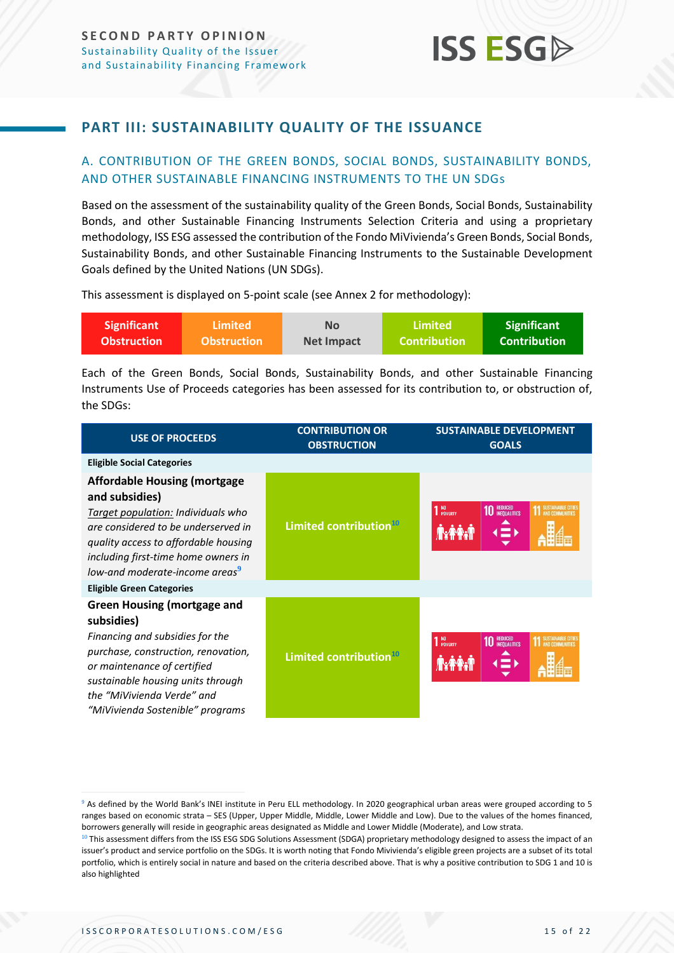### <span id="page-14-0"></span>**PART III: SUSTAINABILITY QUALITY OF THE ISSUANCE**

#### <span id="page-14-1"></span>A. CONTRIBUTION OF THE GREEN BONDS, SOCIAL BONDS, SUSTAINABILITY BONDS, AND OTHER SUSTAINABLE FINANCING INSTRUMENTS TO THE UN SDGs

Based on the assessment of the sustainability quality of the Green Bonds, Social Bonds, Sustainability Bonds, and other Sustainable Financing Instruments Selection Criteria and using a proprietary methodology, ISS ESG assessed the contribution of the Fondo MiVivienda's Green Bonds, Social Bonds, Sustainability Bonds, and other Sustainable Financing Instruments to the Sustainable Development Goals defined by the United Nations (UN SDGs).

This assessment is displayed on 5-point scale (see Annex 2 for methodology):

| <b>Significant</b> | <b>Limited</b>     | No                | Limited\            | <b>Significant</b>  |
|--------------------|--------------------|-------------------|---------------------|---------------------|
| <b>Obstruction</b> | <b>Obstruction</b> | <b>Net Impact</b> | <b>Contribution</b> | <b>Contribution</b> |

Each of the Green Bonds, Social Bonds, Sustainability Bonds, and other Sustainable Financing Instruments Use of Proceeds categories has been assessed for its contribution to, or obstruction of, the SDGs:

| <b>USE OF PROCEEDS</b>                                                                                                                                                                                                                                           | <b>CONTRIBUTION OR</b><br><b>OBSTRUCTION</b> | <b>SUSTAINABLE DEVELOPMENT</b><br><b>GOALS</b>              |  |
|------------------------------------------------------------------------------------------------------------------------------------------------------------------------------------------------------------------------------------------------------------------|----------------------------------------------|-------------------------------------------------------------|--|
| <b>Eligible Social Categories</b>                                                                                                                                                                                                                                |                                              |                                                             |  |
| <b>Affordable Housing (mortgage</b><br>and subsidies)<br>Target population: Individuals who<br>are considered to be underserved in<br>quality access to affordable housing<br>including first-time home owners in<br>low-and moderate-income areas <sup>9</sup>  | Limited contribution <sup>10</sup>           | <b>REDUCED<br/>INEQUALITIES</b><br>NO<br>Poverty            |  |
| <b>Eligible Green Categories</b>                                                                                                                                                                                                                                 |                                              |                                                             |  |
| <b>Green Housing (mortgage and</b><br>subsidies)<br>Financing and subsidies for the<br>purchase, construction, renovation,<br>or maintenance of certified<br>sustainable housing units through<br>the "MiVivienda Verde" and<br>"MiVivienda Sostenible" programs | Limited contribution <sup>10</sup>           | <sup>NO</sup><br>Poverty<br><b>REDUCED<br/>INEQUALITIES</b> |  |

<sup>9</sup> As defined by the World Bank's INEI institute in Peru ELL methodology. In 2020 geographical urban areas were grouped according to 5 ranges based on economic strata – SES (Upper, Upper Middle, Middle, Lower Middle and Low). Due to the values of the homes financed, borrowers generally will reside in geographic areas designated as Middle and Lower Middle (Moderate), and Low strata.

<sup>10</sup> This assessment differs from the ISS ESG SDG Solutions Assessment (SDGA) proprietary methodology designed to assess the impact of an issuer's product and service portfolio on the SDGs. It is worth noting that Fondo Mivivienda's eligible green projects are a subset of its total portfolio, which is entirely social in nature and based on the criteria described above. That is why a positive contribution to SDG 1 and 10 is also highlighted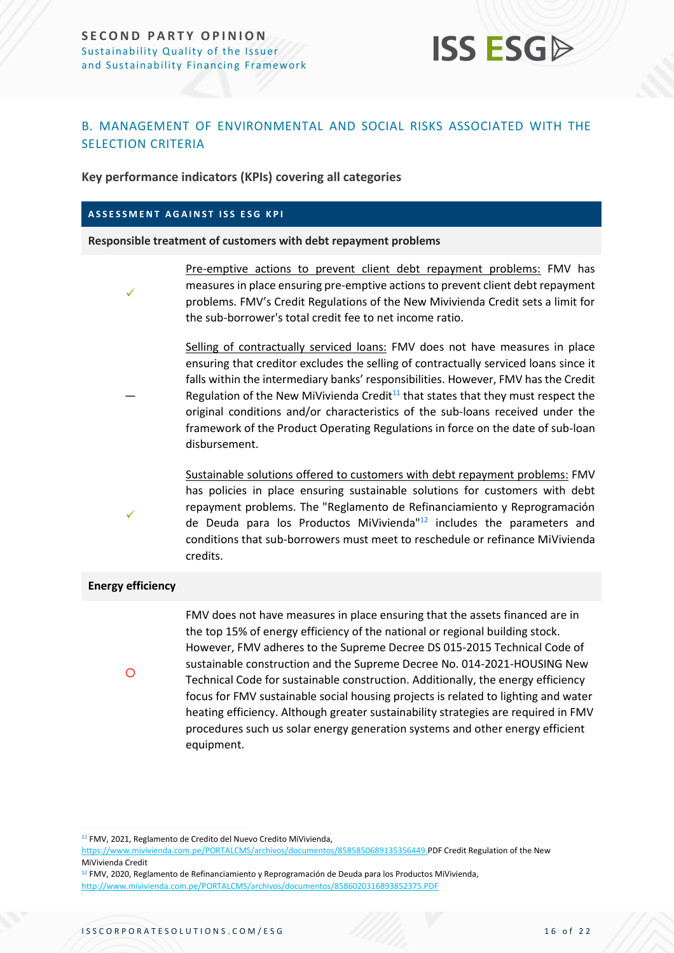

#### <span id="page-15-0"></span>B. MANAGEMENT OF ENVIRONMENTAL AND SOCIAL RISKS ASSOCIATED WITH THE SELECTION CRITERIA

**Key performance indicators (KPIs) covering all categories**

#### **ASSESSMENT AGAINST ISS ESG KPI**

**Responsible treatment of customers with debt repayment problems**

✓

**—**

Pre-emptive actions to prevent client debt repayment problems: FMV has measures in place ensuring pre-emptive actions to prevent client debt repayment problems. FMV's Credit Regulations of the New Mivivienda Credit sets a limit for the sub-borrower's total credit fee to net income ratio.

Selling of contractually serviced loans: FMV does not have measures in place ensuring that creditor excludes the selling of contractually serviced loans since it falls within the intermediary banks' responsibilities. However, FMV has the Credit Regulation of the New MiVivienda Credit $11$  that states that they must respect the original conditions and/or characteristics of the sub-loans received under the framework of the Product Operating Regulations in force on the date of sub-loan disbursement.

Sustainable solutions offered to customers with debt repayment problems: FMV has policies in place ensuring sustainable solutions for customers with debt repayment problems. The "Reglamento de Refinanciamiento y Reprogramación de Deuda para los Productos MiVivienda"<sup>12</sup> includes the parameters and conditions that sub-borrowers must meet to reschedule or refinance MiVivienda credits.

#### **Energy efficiency**

 $\circ$ 

✓

FMV does not have measures in place ensuring that the assets financed are in the top 15% of energy efficiency of the national or regional building stock. However, FMV adheres to the Supreme Decree DS 015-2015 Technical Code of sustainable construction and the Supreme Decree No. 014-2021-HOUSING New Technical Code for sustainable construction. Additionally, the energy efficiency focus for FMV sustainable social housing projects is related to lighting and water heating efficiency. Although greater sustainability strategies are required in FMV procedures such us solar energy generation systems and other energy efficient equipment.

<sup>11</sup> FMV, 2021, Reglamento de Credito del Nuevo Credito MiVivienda,

[https://www.mivivienda.com.pe/PORTALCMS/archivos/documentos/8585850689135356449.P](https://www.mivivienda.com.pe/PORTALCMS/archivos/documentos/8585850689135356449.PDF)DF Credit Regulation of the New MiVivienda Credit

<sup>&</sup>lt;sup>12</sup> FMV, 2020, Reglamento de Refinanciamiento y Reprogramación de Deuda para los Productos MiVivienda, <http://www.mivivienda.com.pe/PORTALCMS/archivos/documentos/8586020316893852375.PDF>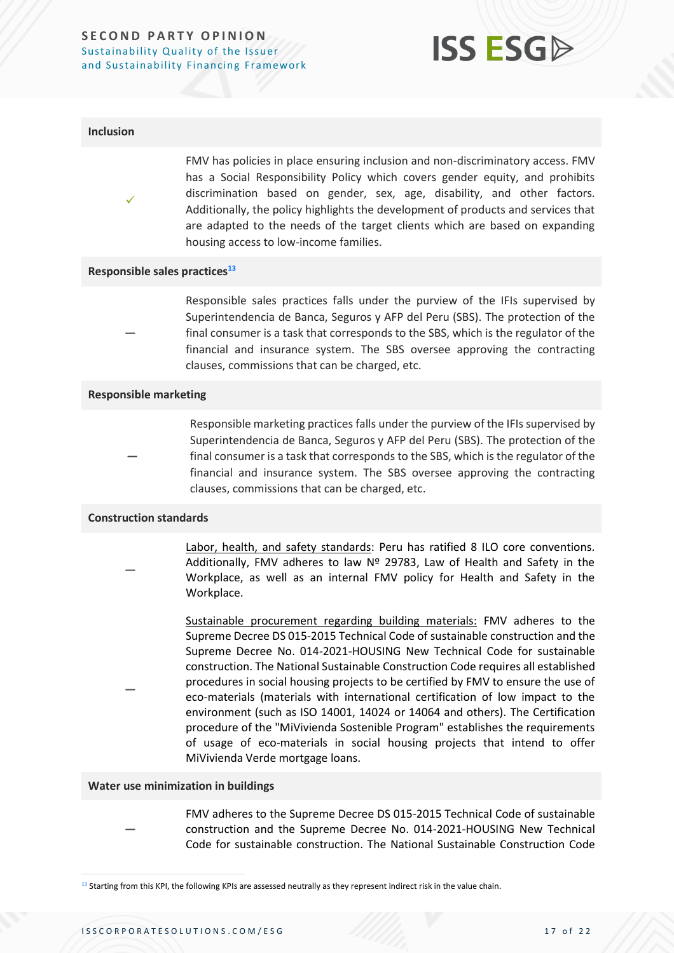#### **SECOND PARTY OPINION** Sustainability Quality of the Issuer and Sustainability Financing Framework



#### **Inclusion**

✓

**—**

FMV has policies in place ensuring inclusion and non-discriminatory access. FMV has a Social Responsibility Policy which covers gender equity, and prohibits discrimination based on gender, sex, age, disability, and other factors. Additionally, the policy highlights the development of products and services that are adapted to the needs of the target clients which are based on expanding housing access to low-income families.

#### **Responsible sales practices<sup>13</sup>**

Responsible sales practices falls under the purview of the IFIs supervised by Superintendencia de Banca, Seguros y AFP del Peru (SBS). The protection of the final consumer is a task that corresponds to the SBS, which is the regulator of the financial and insurance system. The SBS oversee approving the contracting clauses, commissions that can be charged, etc.

#### **Responsible marketing**

**—** Responsible marketing practices falls under the purview of the IFIs supervised by Superintendencia de Banca, Seguros y AFP del Peru (SBS). The protection of the final consumer is a task that corresponds to the SBS, which is the regulator of the financial and insurance system. The SBS oversee approving the contracting clauses, commissions that can be charged, etc.

#### **Construction standards**

**—**

**—**

- Labor, health, and safety standards: Peru has ratified 8 ILO core conventions. Additionally, FMV adheres to law Nº 29783, Law of Health and Safety in the Workplace, as well as an internal FMV policy for Health and Safety in the Workplace.
	- Sustainable procurement regarding building materials: FMV adheres to the Supreme Decree DS 015-2015 Technical Code of sustainable construction and the Supreme Decree No. 014-2021-HOUSING New Technical Code for sustainable construction. The National Sustainable Construction Code requires all established procedures in social housing projects to be certified by FMV to ensure the use of eco-materials (materials with international certification of low impact to the environment (such as ISO 14001, 14024 or 14064 and others). The Certification procedure of the "MiVivienda Sostenible Program" establishes the requirements of usage of eco-materials in social housing projects that intend to offer MiVivienda Verde mortgage loans.

#### **Water use minimization in buildings**

**—** FMV adheres to the Supreme Decree DS 015-2015 Technical Code of sustainable construction and the Supreme Decree No. 014-2021-HOUSING New Technical Code for sustainable construction. The National Sustainable Construction Code

 $13$  Starting from this KPI, the following KPIs are assessed neutrally as they represent indirect risk in the value chain.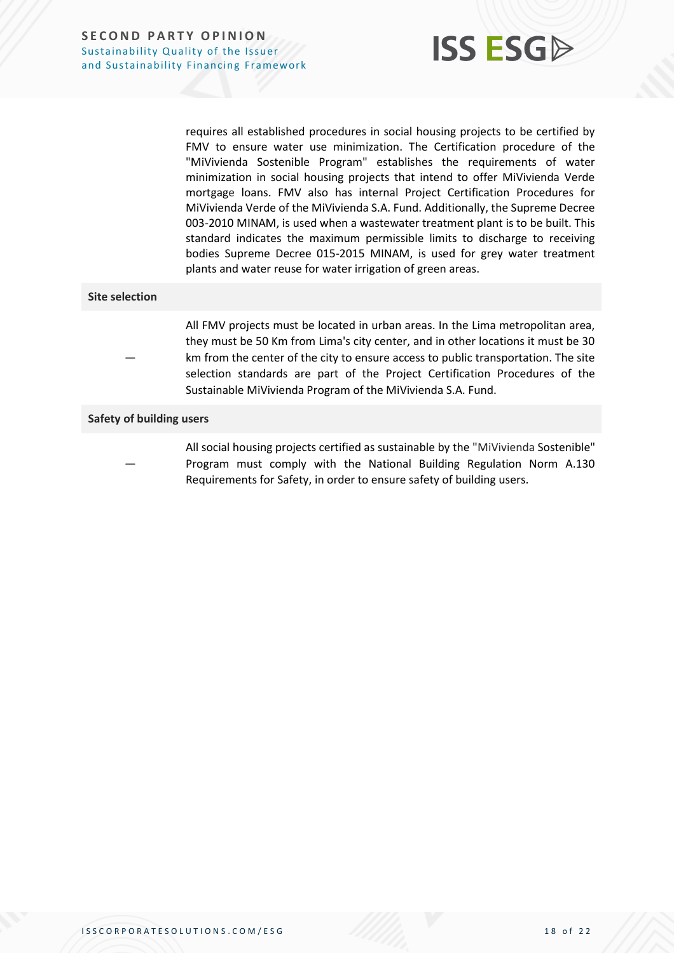

requires all established procedures in social housing projects to be certified by FMV to ensure water use minimization. The Certification procedure of the "MiVivienda Sostenible Program" establishes the requirements of water minimization in social housing projects that intend to offer MiVivienda Verde mortgage loans. FMV also has internal Project Certification Procedures for MiVivienda Verde of the MiVivienda S.A. Fund. Additionally, the Supreme Decree 003-2010 MINAM, is used when a wastewater treatment plant is to be built. This standard indicates the maximum permissible limits to discharge to receiving bodies Supreme Decree 015-2015 MINAM, is used for grey water treatment plants and water reuse for water irrigation of green areas.

#### **Site selection**

**—**

All FMV projects must be located in urban areas. In the Lima metropolitan area, they must be 50 Km from Lima's city center, and in other locations it must be 30 km from the center of the city to ensure access to public transportation. The site selection standards are part of the Project Certification Procedures of the Sustainable MiVivienda Program of the MiVivienda S.A. Fund.

#### **Safety of building users**

**—** All social housing projects certified as sustainable by the "MiVivienda Sostenible" Program must comply with the National Building Regulation Norm A.130 Requirements for Safety, in order to ensure safety of building users.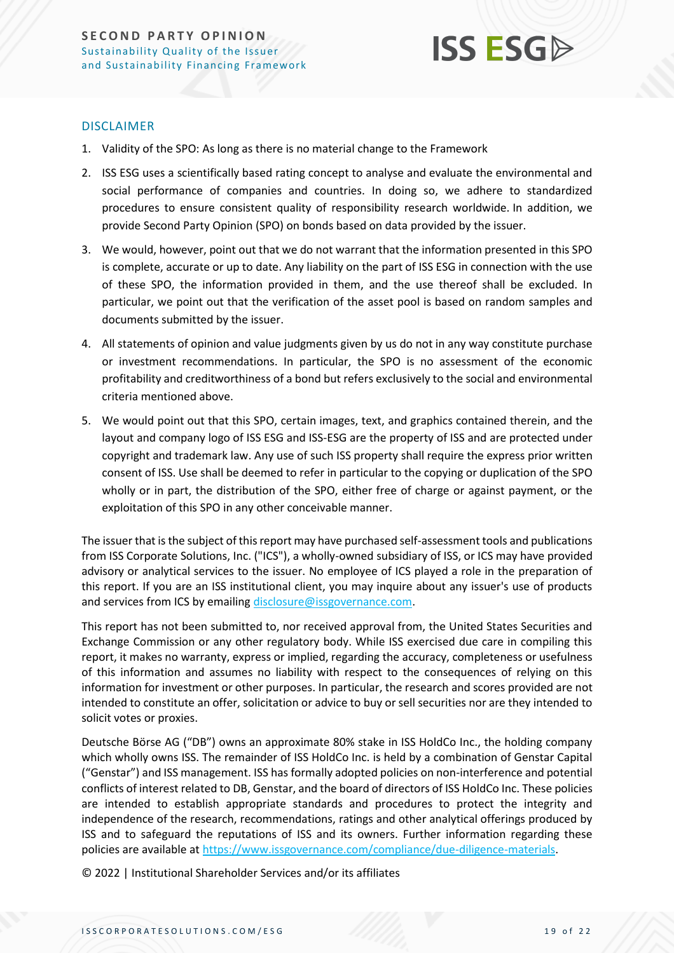

#### DISCLAIMER

- 1. Validity of the SPO: As long as there is no material change to the Framework
- 2. ISS ESG uses a scientifically based rating concept to analyse and evaluate the environmental and social performance of companies and countries. In doing so, we adhere to standardized procedures to ensure consistent quality of responsibility research worldwide. In addition, we provide Second Party Opinion (SPO) on bonds based on data provided by the issuer.
- 3. We would, however, point out that we do not warrant that the information presented in this SPO is complete, accurate or up to date. Any liability on the part of ISS ESG in connection with the use of these SPO, the information provided in them, and the use thereof shall be excluded. In particular, we point out that the verification of the asset pool is based on random samples and documents submitted by the issuer.
- 4. All statements of opinion and value judgments given by us do not in any way constitute purchase or investment recommendations. In particular, the SPO is no assessment of the economic profitability and creditworthiness of a bond but refers exclusively to the social and environmental criteria mentioned above.
- 5. We would point out that this SPO, certain images, text, and graphics contained therein, and the layout and company logo of ISS ESG and ISS-ESG are the property of ISS and are protected under copyright and trademark law. Any use of such ISS property shall require the express prior written consent of ISS. Use shall be deemed to refer in particular to the copying or duplication of the SPO wholly or in part, the distribution of the SPO, either free of charge or against payment, or the exploitation of this SPO in any other conceivable manner.

The issuer that is the subject of this report may have purchased self-assessment tools and publications from ISS Corporate Solutions, Inc. ("ICS"), a wholly-owned subsidiary of ISS, or ICS may have provided advisory or analytical services to the issuer. No employee of ICS played a role in the preparation of this report. If you are an ISS institutional client, you may inquire about any issuer's use of products and services from ICS by emailin[g disclosure@issgovernance.com.](mailto:disclosure@issgovernance.com)

This report has not been submitted to, nor received approval from, the United States Securities and Exchange Commission or any other regulatory body. While ISS exercised due care in compiling this report, it makes no warranty, express or implied, regarding the accuracy, completeness or usefulness of this information and assumes no liability with respect to the consequences of relying on this information for investment or other purposes. In particular, the research and scores provided are not intended to constitute an offer, solicitation or advice to buy or sell securities nor are they intended to solicit votes or proxies.

Deutsche Börse AG ("DB") owns an approximate 80% stake in ISS HoldCo Inc., the holding company which wholly owns ISS. The remainder of ISS HoldCo Inc. is held by a combination of Genstar Capital ("Genstar") and ISS management. ISS has formally adopted policies on non-interference and potential conflicts of interest related to DB, Genstar, and the board of directors of ISS HoldCo Inc. These policies are intended to establish appropriate standards and procedures to protect the integrity and independence of the research, recommendations, ratings and other analytical offerings produced by ISS and to safeguard the reputations of ISS and its owners. Further information regarding these policies are available a[t https://www.issgovernance.com/compliance/due-diligence-materials.](https://www.issgovernance.com/compliance/due-diligence-materials)

© 2022 | Institutional Shareholder Services and/or its affiliates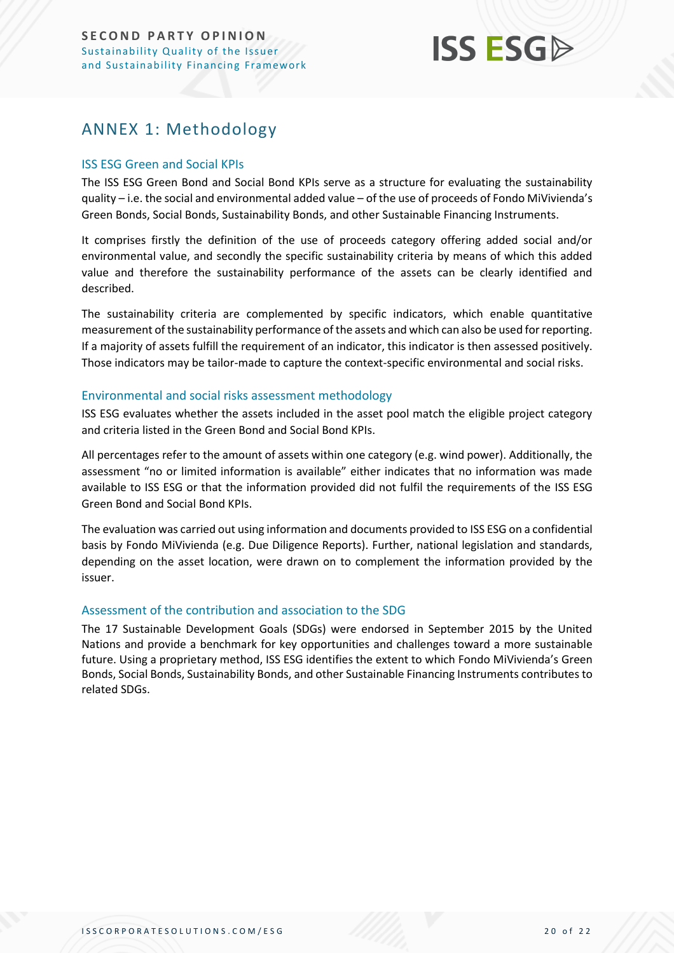## **ISS ESG**

## <span id="page-19-0"></span>ANNEX 1: Methodology

#### ISS ESG Green and Social KPIs

The ISS ESG Green Bond and Social Bond KPIs serve as a structure for evaluating the sustainability quality – i.e. the social and environmental added value – of the use of proceeds of Fondo MiVivienda's Green Bonds, Social Bonds, Sustainability Bonds, and other Sustainable Financing Instruments.

It comprises firstly the definition of the use of proceeds category offering added social and/or environmental value, and secondly the specific sustainability criteria by means of which this added value and therefore the sustainability performance of the assets can be clearly identified and described.

The sustainability criteria are complemented by specific indicators, which enable quantitative measurement of the sustainability performance of the assets and which can also be used for reporting. If a majority of assets fulfill the requirement of an indicator, this indicator is then assessed positively. Those indicators may be tailor-made to capture the context-specific environmental and social risks.

#### Environmental and social risks assessment methodology

ISS ESG evaluates whether the assets included in the asset pool match the eligible project category and criteria listed in the Green Bond and Social Bond KPIs.

All percentages refer to the amount of assets within one category (e.g. wind power). Additionally, the assessment "no or limited information is available" either indicates that no information was made available to ISS ESG or that the information provided did not fulfil the requirements of the ISS ESG Green Bond and Social Bond KPIs.

The evaluation was carried out using information and documents provided to ISS ESG on a confidential basis by Fondo MiVivienda (e.g. Due Diligence Reports). Further, national legislation and standards, depending on the asset location, were drawn on to complement the information provided by the issuer.

#### Assessment of the contribution and association to the SDG

The 17 Sustainable Development Goals (SDGs) were endorsed in September 2015 by the United Nations and provide a benchmark for key opportunities and challenges toward a more sustainable future. Using a proprietary method, ISS ESG identifies the extent to which Fondo MiVivienda's Green Bonds, Social Bonds, Sustainability Bonds, and other Sustainable Financing Instruments contributes to related SDGs.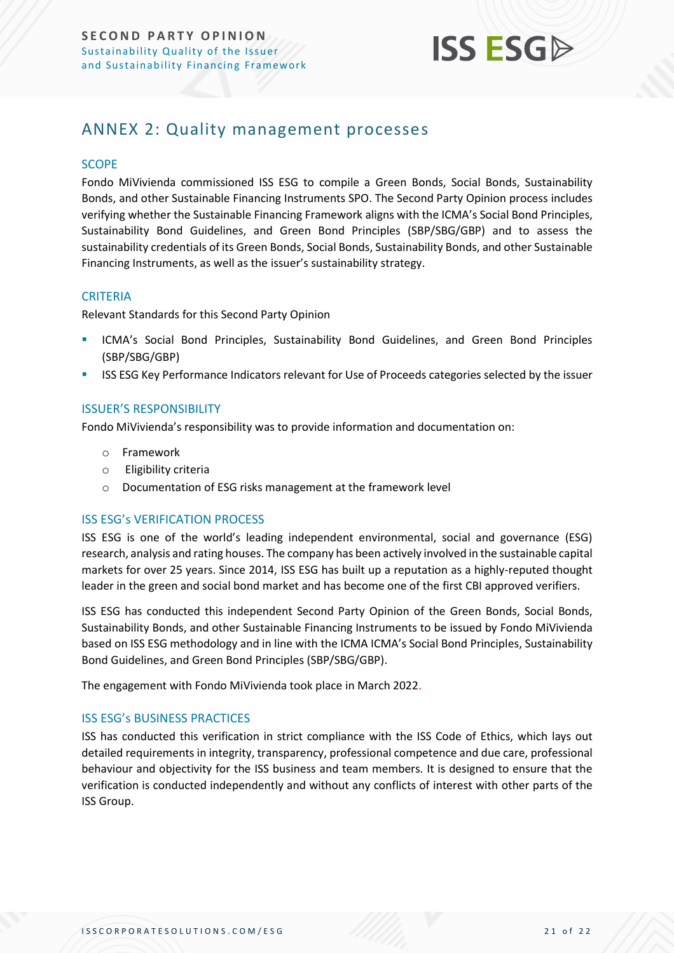

## <span id="page-20-0"></span>ANNEX 2: Quality management processes

#### **SCOPE**

Fondo MiVivienda commissioned ISS ESG to compile a Green Bonds, Social Bonds, Sustainability Bonds, and other Sustainable Financing Instruments SPO. The Second Party Opinion process includes verifying whether the Sustainable Financing Framework aligns with the ICMA's Social Bond Principles, Sustainability Bond Guidelines, and Green Bond Principles (SBP/SBG/GBP) and to assess the sustainability credentials of its Green Bonds, Social Bonds, Sustainability Bonds, and other Sustainable Financing Instruments, as well as the issuer's sustainability strategy.

#### **CRITERIA**

Relevant Standards for this Second Party Opinion

- ICMA's Social Bond Principles, Sustainability Bond Guidelines, and Green Bond Principles (SBP/SBG/GBP)
- ISS ESG Key Performance Indicators relevant for Use of Proceeds categories selected by the issuer

#### ISSUER'S RESPONSIBILITY

Fondo MiVivienda's responsibility was to provide information and documentation on:

- o Framework
- o Eligibility criteria
- o Documentation of ESG risks management at the framework level

#### ISS ESG's VERIFICATION PROCESS

ISS ESG is one of the world's leading independent environmental, social and governance (ESG) research, analysis and rating houses. The company has been actively involved in the sustainable capital markets for over 25 years. Since 2014, ISS ESG has built up a reputation as a highly-reputed thought leader in the green and social bond market and has become one of the first CBI approved verifiers.

ISS ESG has conducted this independent Second Party Opinion of the Green Bonds, Social Bonds, Sustainability Bonds, and other Sustainable Financing Instruments to be issued by Fondo MiVivienda based on ISS ESG methodology and in line with the ICMA ICMA's Social Bond Principles, Sustainability Bond Guidelines, and Green Bond Principles (SBP/SBG/GBP).

The engagement with Fondo MiVivienda took place in March 2022.

#### ISS ESG's BUSINESS PRACTICES

ISS has conducted this verification in strict compliance with the ISS Code of Ethics, which lays out detailed requirements in integrity, transparency, professional competence and due care, professional behaviour and objectivity for the ISS business and team members. It is designed to ensure that the verification is conducted independently and without any conflicts of interest with other parts of the ISS Group.